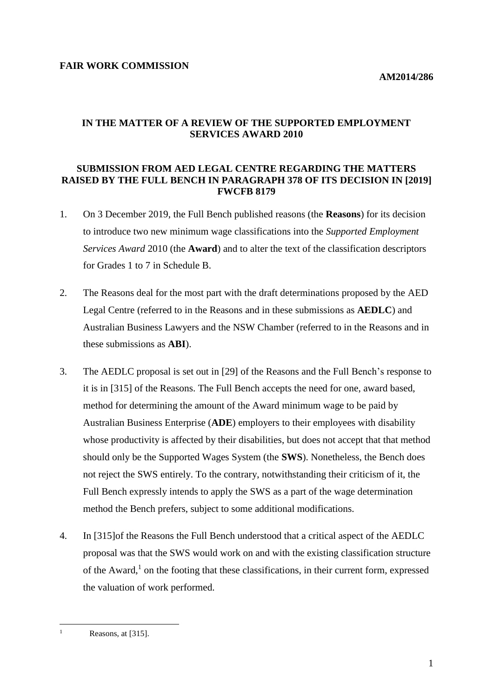# **IN THE MATTER OF A REVIEW OF THE SUPPORTED EMPLOYMENT SERVICES AWARD 2010**

#### **SUBMISSION FROM AED LEGAL CENTRE REGARDING THE MATTERS RAISED BY THE FULL BENCH IN PARAGRAPH 378 OF ITS DECISION IN [2019] FWCFB 8179**

- 1. On 3 December 2019, the Full Bench published reasons (the **Reasons**) for its decision to introduce two new minimum wage classifications into the *Supported Employment Services Award* 2010 (the **Award**) and to alter the text of the classification descriptors for Grades 1 to 7 in Schedule B.
- 2. The Reasons deal for the most part with the draft determinations proposed by the AED Legal Centre (referred to in the Reasons and in these submissions as **AEDLC**) and Australian Business Lawyers and the NSW Chamber (referred to in the Reasons and in these submissions as **ABI**).
- 3. The AEDLC proposal is set out in [29] of the Reasons and the Full Bench's response to it is in [315] of the Reasons. The Full Bench accepts the need for one, award based, method for determining the amount of the Award minimum wage to be paid by Australian Business Enterprise (**ADE**) employers to their employees with disability whose productivity is affected by their disabilities, but does not accept that that method should only be the Supported Wages System (the **SWS**). Nonetheless, the Bench does not reject the SWS entirely. To the contrary, notwithstanding their criticism of it, the Full Bench expressly intends to apply the SWS as a part of the wage determination method the Bench prefers, subject to some additional modifications.
- 4. In [315]of the Reasons the Full Bench understood that a critical aspect of the AEDLC proposal was that the SWS would work on and with the existing classification structure of the Award, 1 on the footing that these classifications, in their current form, expressed the valuation of work performed.

 $\overline{a}$ 

Reasons, at [315].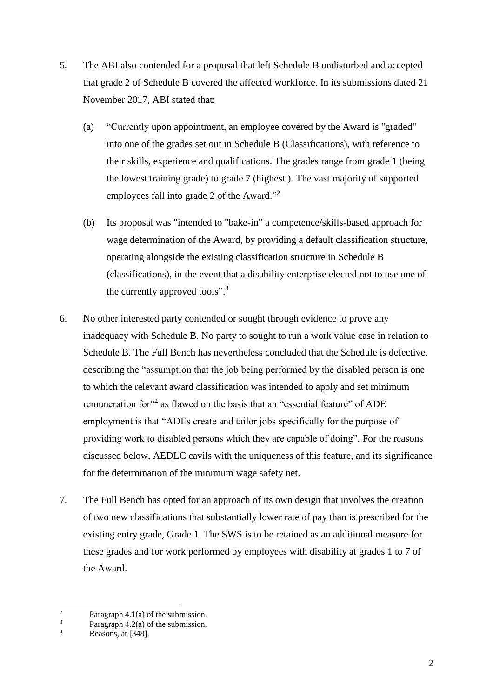- 5. The ABI also contended for a proposal that left Schedule B undisturbed and accepted that grade 2 of Schedule B covered the affected workforce. In its submissions dated 21 November 2017, ABI stated that:
	- (a) "Currently upon appointment, an employee covered by the Award is "graded" into one of the grades set out in Schedule B (Classifications), with reference to their skills, experience and qualifications. The grades range from grade 1 (being the lowest training grade) to grade 7 (highest ). The vast majority of supported employees fall into grade 2 of the Award."<sup>2</sup>
	- (b) Its proposal was "intended to "bake-in" a competence/skills-based approach for wage determination of the Award, by providing a default classification structure, operating alongside the existing classification structure in Schedule B (classifications), in the event that a disability enterprise elected not to use one of the currently approved tools".<sup>3</sup>
- 6. No other interested party contended or sought through evidence to prove any inadequacy with Schedule B. No party to sought to run a work value case in relation to Schedule B. The Full Bench has nevertheless concluded that the Schedule is defective, describing the "assumption that the job being performed by the disabled person is one to which the relevant award classification was intended to apply and set minimum remuneration for<sup>14</sup> as flawed on the basis that an "essential feature" of ADE employment is that "ADEs create and tailor jobs specifically for the purpose of providing work to disabled persons which they are capable of doing". For the reasons discussed below, AEDLC cavils with the uniqueness of this feature, and its significance for the determination of the minimum wage safety net.
- 7. The Full Bench has opted for an approach of its own design that involves the creation of two new classifications that substantially lower rate of pay than is prescribed for the existing entry grade, Grade 1. The SWS is to be retained as an additional measure for these grades and for work performed by employees with disability at grades 1 to 7 of the Award.

 $\overline{a}$ 

<sup>&</sup>lt;sup>2</sup> Paragraph 4.1(a) of the submission.<br><sup>3</sup> Paragraph 4.2(a) of the submission.

 $\frac{3}{4}$  Paragraph 4.2(a) of the submission.

Reasons, at [348].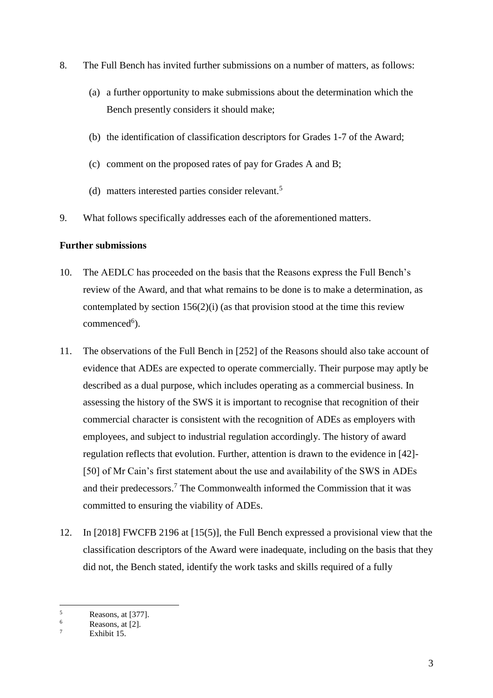- 8. The Full Bench has invited further submissions on a number of matters, as follows:
	- (a) a further opportunity to make submissions about the determination which the Bench presently considers it should make;
	- (b) the identification of classification descriptors for Grades 1-7 of the Award;
	- (c) comment on the proposed rates of pay for Grades A and B;
	- (d) matters interested parties consider relevant.<sup>5</sup>
- 9. What follows specifically addresses each of the aforementioned matters.

# **Further submissions**

- 10. The AEDLC has proceeded on the basis that the Reasons express the Full Bench's review of the Award, and that what remains to be done is to make a determination, as contemplated by section  $156(2)(i)$  (as that provision stood at the time this review  $commenced<sup>6</sup>).$
- 11. The observations of the Full Bench in [252] of the Reasons should also take account of evidence that ADEs are expected to operate commercially. Their purpose may aptly be described as a dual purpose, which includes operating as a commercial business. In assessing the history of the SWS it is important to recognise that recognition of their commercial character is consistent with the recognition of ADEs as employers with employees, and subject to industrial regulation accordingly. The history of award regulation reflects that evolution. Further, attention is drawn to the evidence in [42]- [50] of Mr Cain's first statement about the use and availability of the SWS in ADEs and their predecessors.<sup>7</sup> The Commonwealth informed the Commission that it was committed to ensuring the viability of ADEs.
- 12. In [2018] FWCFB 2196 at [15(5)], the Full Bench expressed a provisional view that the classification descriptors of the Award were inadequate, including on the basis that they did not, the Bench stated, identify the work tasks and skills required of a fully

 $\overline{a}$ 

 $\frac{5}{6}$  Reasons, at [377].

 $\frac{6}{7}$  Reasons, at [2].

Exhibit 15.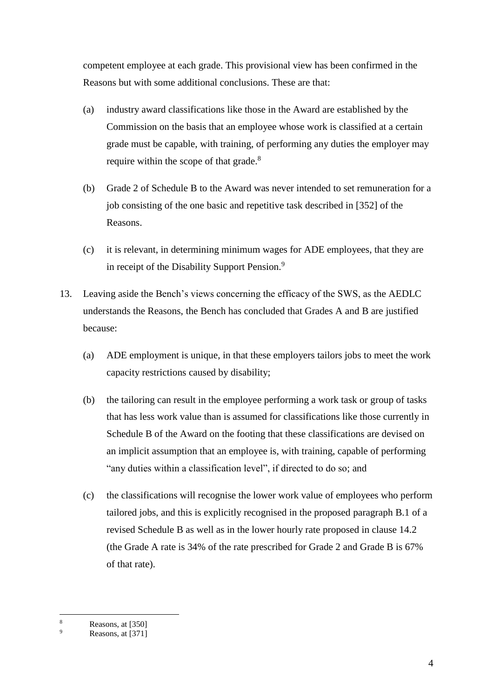competent employee at each grade. This provisional view has been confirmed in the Reasons but with some additional conclusions. These are that:

- (a) industry award classifications like those in the Award are established by the Commission on the basis that an employee whose work is classified at a certain grade must be capable, with training, of performing any duties the employer may require within the scope of that grade.<sup>8</sup>
- (b) Grade 2 of Schedule B to the Award was never intended to set remuneration for a job consisting of the one basic and repetitive task described in [352] of the Reasons.
- (c) it is relevant, in determining minimum wages for ADE employees, that they are in receipt of the Disability Support Pension.<sup>9</sup>
- 13. Leaving aside the Bench's views concerning the efficacy of the SWS, as the AEDLC understands the Reasons, the Bench has concluded that Grades A and B are justified because:
	- (a) ADE employment is unique, in that these employers tailors jobs to meet the work capacity restrictions caused by disability;
	- (b) the tailoring can result in the employee performing a work task or group of tasks that has less work value than is assumed for classifications like those currently in Schedule B of the Award on the footing that these classifications are devised on an implicit assumption that an employee is, with training, capable of performing "any duties within a classification level", if directed to do so; and
	- (c) the classifications will recognise the lower work value of employees who perform tailored jobs, and this is explicitly recognised in the proposed paragraph B.1 of a revised Schedule B as well as in the lower hourly rate proposed in clause 14.2 (the Grade A rate is 34% of the rate prescribed for Grade 2 and Grade B is 67% of that rate).

 $\overline{a}$  $\frac{8}{9}$  Reasons, at [350]

Reasons, at [371]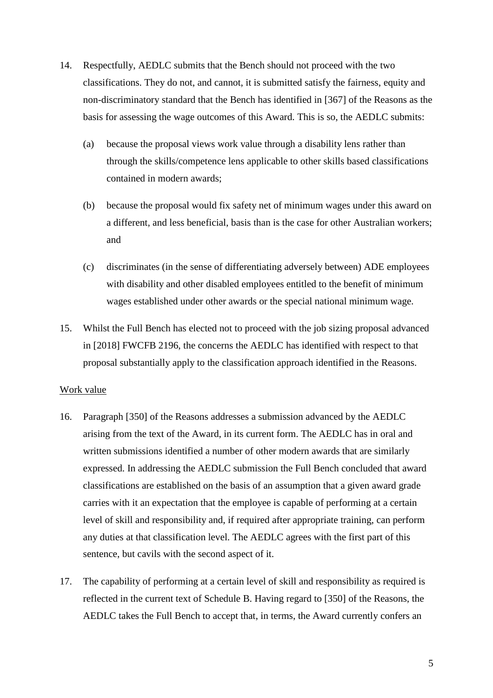- 14. Respectfully, AEDLC submits that the Bench should not proceed with the two classifications. They do not, and cannot, it is submitted satisfy the fairness, equity and non-discriminatory standard that the Bench has identified in [367] of the Reasons as the basis for assessing the wage outcomes of this Award. This is so, the AEDLC submits:
	- (a) because the proposal views work value through a disability lens rather than through the skills/competence lens applicable to other skills based classifications contained in modern awards;
	- (b) because the proposal would fix safety net of minimum wages under this award on a different, and less beneficial, basis than is the case for other Australian workers; and
	- (c) discriminates (in the sense of differentiating adversely between) ADE employees with disability and other disabled employees entitled to the benefit of minimum wages established under other awards or the special national minimum wage.
- 15. Whilst the Full Bench has elected not to proceed with the job sizing proposal advanced in [2018] FWCFB 2196, the concerns the AEDLC has identified with respect to that proposal substantially apply to the classification approach identified in the Reasons.

#### Work value

- <span id="page-4-0"></span>16. Paragraph [350] of the Reasons addresses a submission advanced by the AEDLC arising from the text of the Award, in its current form. The AEDLC has in oral and written submissions identified a number of other modern awards that are similarly expressed. In addressing the AEDLC submission the Full Bench concluded that award classifications are established on the basis of an assumption that a given award grade carries with it an expectation that the employee is capable of performing at a certain level of skill and responsibility and, if required after appropriate training, can perform any duties at that classification level. The AEDLC agrees with the first part of this sentence, but cavils with the second aspect of it.
- 17. The capability of performing at a certain level of skill and responsibility as required is reflected in the current text of Schedule B. Having regard to [350] of the Reasons, the AEDLC takes the Full Bench to accept that, in terms, the Award currently confers an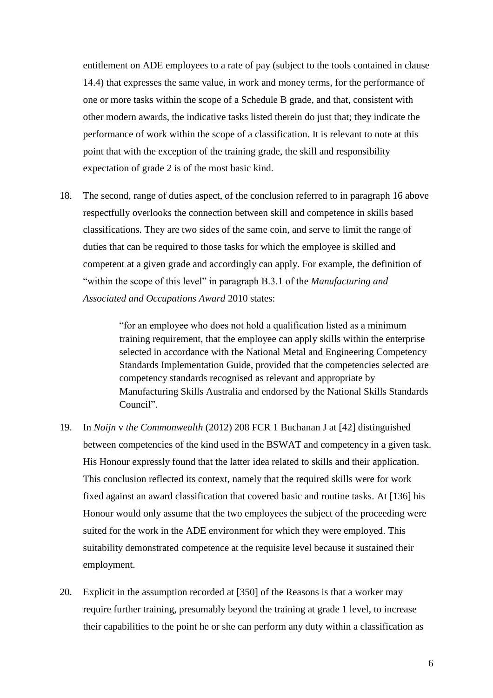entitlement on ADE employees to a rate of pay (subject to the tools contained in clause 14.4) that expresses the same value, in work and money terms, for the performance of one or more tasks within the scope of a Schedule B grade, and that, consistent with other modern awards, the indicative tasks listed therein do just that; they indicate the performance of work within the scope of a classification. It is relevant to note at this point that with the exception of the training grade, the skill and responsibility expectation of grade 2 is of the most basic kind.

18. The second, range of duties aspect, of the conclusion referred to in paragraph [16](#page-4-0) above respectfully overlooks the connection between skill and competence in skills based classifications. They are two sides of the same coin, and serve to limit the range of duties that can be required to those tasks for which the employee is skilled and competent at a given grade and accordingly can apply. For example, the definition of "within the scope of this level" in paragraph B.3.1 of the *Manufacturing and Associated and Occupations Award* 2010 states:

> "for an employee who does not hold a qualification listed as a minimum training requirement, that the employee can apply skills within the enterprise selected in accordance with the National Metal and Engineering Competency Standards Implementation Guide, provided that the competencies selected are competency standards recognised as relevant and appropriate by Manufacturing Skills Australia and endorsed by the National Skills Standards Council".

- 19. In *Noijn* v *the Commonwealth* (2012) 208 FCR 1 Buchanan J at [42] distinguished between competencies of the kind used in the BSWAT and competency in a given task. His Honour expressly found that the latter idea related to skills and their application. This conclusion reflected its context, namely that the required skills were for work fixed against an award classification that covered basic and routine tasks. At [136] his Honour would only assume that the two employees the subject of the proceeding were suited for the work in the ADE environment for which they were employed. This suitability demonstrated competence at the requisite level because it sustained their employment.
- 20. Explicit in the assumption recorded at [350] of the Reasons is that a worker may require further training, presumably beyond the training at grade 1 level, to increase their capabilities to the point he or she can perform any duty within a classification as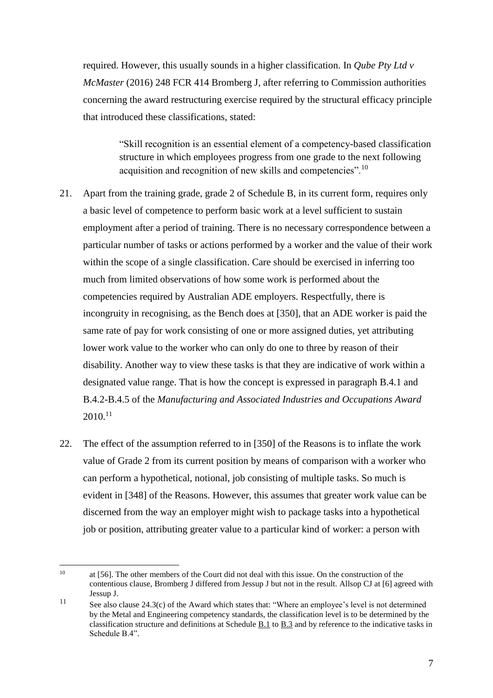required. However, this usually sounds in a higher classification. In *Qube Pty Ltd v McMaster* (2016) 248 FCR 414 Bromberg J, after referring to Commission authorities concerning the award restructuring exercise required by the structural efficacy principle that introduced these classifications, stated:

> "Skill recognition is an essential element of a competency-based classification structure in which employees progress from one grade to the next following acquisition and recognition of new skills and competencies".<sup>10</sup>

- 21. Apart from the training grade, grade 2 of Schedule B, in its current form, requires only a basic level of competence to perform basic work at a level sufficient to sustain employment after a period of training. There is no necessary correspondence between a particular number of tasks or actions performed by a worker and the value of their work within the scope of a single classification. Care should be exercised in inferring too much from limited observations of how some work is performed about the competencies required by Australian ADE employers. Respectfully, there is incongruity in recognising, as the Bench does at [350], that an ADE worker is paid the same rate of pay for work consisting of one or more assigned duties, yet attributing lower work value to the worker who can only do one to three by reason of their disability. Another way to view these tasks is that they are indicative of work within a designated value range. That is how the concept is expressed in paragraph B.4.1 and B.4.2-B.4.5 of the *Manufacturing and Associated Industries and Occupations Award*   $2010.^{11}$
- 22. The effect of the assumption referred to in [350] of the Reasons is to inflate the work value of Grade 2 from its current position by means of comparison with a worker who can perform a hypothetical, notional, job consisting of multiple tasks. So much is evident in [348] of the Reasons. However, this assumes that greater work value can be discerned from the way an employer might wish to package tasks into a hypothetical job or position, attributing greater value to a particular kind of worker: a person with

 $10$ at [56]. The other members of the Court did not deal with this issue. On the construction of the contentious clause, Bromberg J differed from Jessup J but not in the result. Allsop CJ at [6] agreed with Jessup J.

<sup>&</sup>lt;sup>11</sup> See also clause 24.3(c) of the Award which states that: "Where an employee's level is not determined by the Metal and Engineering competency standards, the classification level is to be determined by the classification structure and definitions at Schedule [B.1](https://www.fwc.gov.au/documents/documents/modern_awards/award/ma000010/ma000010-54.htm#P2630_218615) to [B.3](https://www.fwc.gov.au/documents/documents/modern_awards/award/ma000010/ma000010-54.htm#P2745_223668) and by reference to the indicative tasks in Schedule B.4".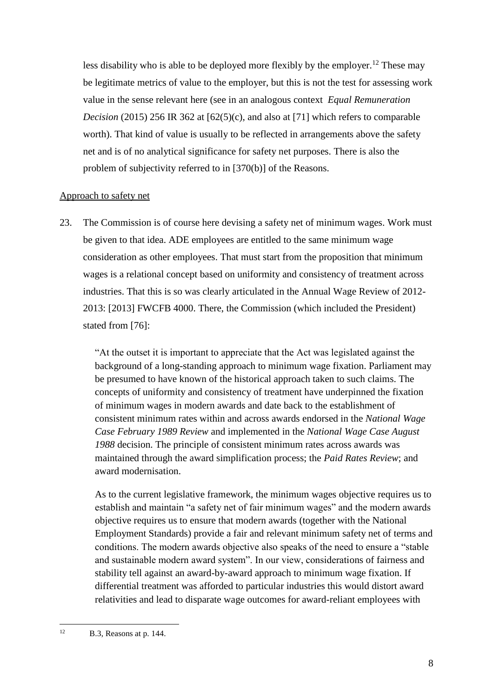less disability who is able to be deployed more flexibly by the employer.<sup>12</sup> These may be legitimate metrics of value to the employer, but this is not the test for assessing work value in the sense relevant here (see in an analogous context *Equal Remuneration Decision* (2015) 256 IR 362 at [62(5)(c), and also at [71] which refers to comparable worth). That kind of value is usually to be reflected in arrangements above the safety net and is of no analytical significance for safety net purposes. There is also the problem of subjectivity referred to in [370(b)] of the Reasons.

### Approach to safety net

23. The Commission is of course here devising a safety net of minimum wages. Work must be given to that idea. ADE employees are entitled to the same minimum wage consideration as other employees. That must start from the proposition that minimum wages is a relational concept based on uniformity and consistency of treatment across industries. That this is so was clearly articulated in the Annual Wage Review of 2012- 2013: [2013] FWCFB 4000. There, the Commission (which included the President) stated from [76]:

"At the outset it is important to appreciate that the Act was legislated against the background of a long-standing approach to minimum wage fixation. Parliament may be presumed to have known of the historical approach taken to such claims. The concepts of uniformity and consistency of treatment have underpinned the fixation of minimum wages in modern awards and date back to the establishment of consistent minimum rates within and across awards endorsed in the *National Wage Case February 1989 Review* and implemented in the *National Wage Case August 1988* decision. The principle of consistent minimum rates across awards was maintained through the award simplification process; the *Paid Rates Review*; and award modernisation.

As to the current legislative framework, the minimum wages objective requires us to establish and maintain "a safety net of fair minimum wages" and the modern awards objective requires us to ensure that modern awards (together with the National Employment Standards) provide a fair and relevant minimum safety net of terms and conditions. The modern awards objective also speaks of the need to ensure a "stable and sustainable modern award system". In our view, considerations of fairness and stability tell against an award-by-award approach to minimum wage fixation. If differential treatment was afforded to particular industries this would distort award relativities and lead to disparate wage outcomes for award-reliant employees with

 $12$ B.3, Reasons at p. 144.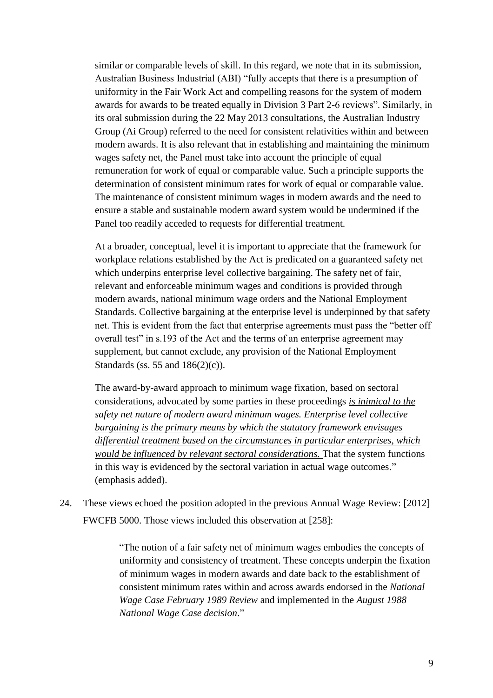similar or comparable levels of skill. In this regard, we note that in its submission, Australian Business Industrial (ABI) "fully accepts that there is a presumption of uniformity in the Fair Work Act and compelling reasons for the system of modern awards for awards to be treated equally in Division 3 Part 2-6 reviews". Similarly, in its oral submission during the 22 May 2013 consultations, the Australian Industry Group (Ai Group) referred to the need for consistent relativities within and between modern awards. It is also relevant that in establishing and maintaining the minimum wages safety net, the Panel must take into account the principle of equal remuneration for work of equal or comparable value. Such a principle supports the determination of consistent minimum rates for work of equal or comparable value. The maintenance of consistent minimum wages in modern awards and the need to ensure a stable and sustainable modern award system would be undermined if the Panel too readily acceded to requests for differential treatment.

At a broader, conceptual, level it is important to appreciate that the framework for workplace relations established by the Act is predicated on a guaranteed safety net which underpins enterprise level collective bargaining. The safety net of fair, relevant and enforceable minimum wages and conditions is provided through modern awards, national minimum wage orders and the National Employment Standards. Collective bargaining at the enterprise level is underpinned by that safety net. This is evident from the fact that enterprise agreements must pass the "better off overall test" in s.193 of the Act and the terms of an enterprise agreement may supplement, but cannot exclude, any provision of the National Employment Standards (ss. 55 and 186(2)(c)).

The award-by-award approach to minimum wage fixation, based on sectoral considerations, advocated by some parties in these proceedings *is inimical to the safety net nature of modern award minimum wages. Enterprise level collective bargaining is the primary means by which the statutory framework envisages differential treatment based on the circumstances in particular enterprises, which would be influenced by relevant sectoral considerations.* That the system functions in this way is evidenced by the sectoral variation in actual wage outcomes." (emphasis added).

24. These views echoed the position adopted in the previous Annual Wage Review: [2012] FWCFB 5000. Those views included this observation at [258]:

> "The notion of a fair safety net of minimum wages embodies the concepts of uniformity and consistency of treatment. These concepts underpin the fixation of minimum wages in modern awards and date back to the establishment of consistent minimum rates within and across awards endorsed in the *National Wage Case February 1989 Review* and implemented in the *August 1988 National Wage Case decision*."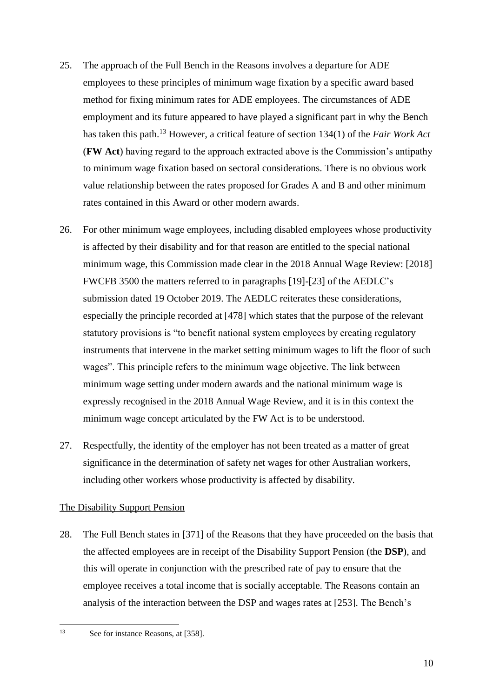- 25. The approach of the Full Bench in the Reasons involves a departure for ADE employees to these principles of minimum wage fixation by a specific award based method for fixing minimum rates for ADE employees. The circumstances of ADE employment and its future appeared to have played a significant part in why the Bench has taken this path.<sup>13</sup> However, a critical feature of section 134(1) of the *Fair Work Act* (**FW Act**) having regard to the approach extracted above is the Commission's antipathy to minimum wage fixation based on sectoral considerations. There is no obvious work value relationship between the rates proposed for Grades A and B and other minimum rates contained in this Award or other modern awards.
- 26. For other minimum wage employees, including disabled employees whose productivity is affected by their disability and for that reason are entitled to the special national minimum wage, this Commission made clear in the 2018 Annual Wage Review: [2018] FWCFB 3500 the matters referred to in paragraphs [19]-[23] of the AEDLC's submission dated 19 October 2019. The AEDLC reiterates these considerations, especially the principle recorded at [478] which states that the purpose of the relevant statutory provisions is "to benefit national system employees by creating regulatory instruments that intervene in the market setting minimum wages to lift the floor of such wages". This principle refers to the minimum wage objective. The link between minimum wage setting under modern awards and the national minimum wage is expressly recognised in the 2018 Annual Wage Review, and it is in this context the minimum wage concept articulated by the FW Act is to be understood.
- 27. Respectfully, the identity of the employer has not been treated as a matter of great significance in the determination of safety net wages for other Australian workers, including other workers whose productivity is affected by disability.

# The Disability Support Pension

28. The Full Bench states in [371] of the Reasons that they have proceeded on the basis that the affected employees are in receipt of the Disability Support Pension (the **DSP**), and this will operate in conjunction with the prescribed rate of pay to ensure that the employee receives a total income that is socially acceptable. The Reasons contain an analysis of the interaction between the DSP and wages rates at [253]. The Bench's

 $13$ See for instance Reasons, at [358].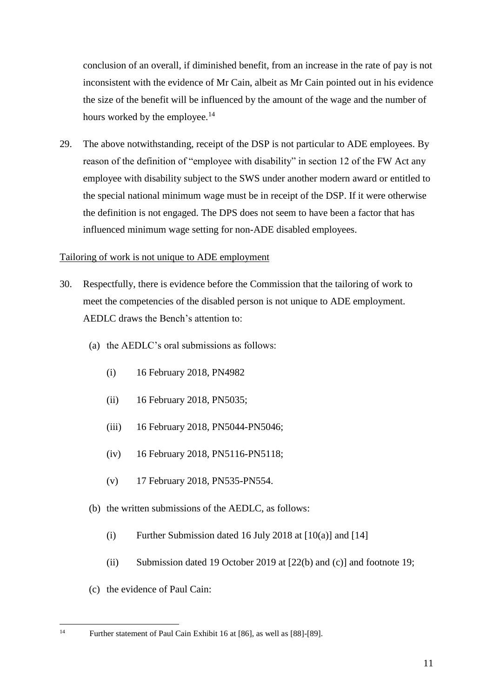conclusion of an overall, if diminished benefit, from an increase in the rate of pay is not inconsistent with the evidence of Mr Cain, albeit as Mr Cain pointed out in his evidence the size of the benefit will be influenced by the amount of the wage and the number of hours worked by the employee.<sup>14</sup>

29. The above notwithstanding, receipt of the DSP is not particular to ADE employees. By reason of the definition of "employee with disability" in section 12 of the FW Act any employee with disability subject to the SWS under another modern award or entitled to the special national minimum wage must be in receipt of the DSP. If it were otherwise the definition is not engaged. The DPS does not seem to have been a factor that has influenced minimum wage setting for non-ADE disabled employees.

# Tailoring of work is not unique to ADE employment

- 30. Respectfully, there is evidence before the Commission that the tailoring of work to meet the competencies of the disabled person is not unique to ADE employment. AEDLC draws the Bench's attention to:
	- (a) the AEDLC's oral submissions as follows:
		- (i) 16 February 2018, PN4982
		- (ii) 16 February 2018, PN5035;
		- (iii) 16 February 2018, PN5044-PN5046;
		- (iv) 16 February 2018, PN5116-PN5118;
		- (v) 17 February 2018, PN535-PN554.
	- (b) the written submissions of the AEDLC, as follows:
		- (i) Further Submission dated 16 July 2018 at  $[10(a)]$  and  $[14]$
		- (ii) Submission dated 19 October 2019 at [22(b) and (c)] and footnote 19;
	- (c) the evidence of Paul Cain:

 $14$ <sup>14</sup> Further statement of Paul Cain Exhibit 16 at [86], as well as [88]-[89].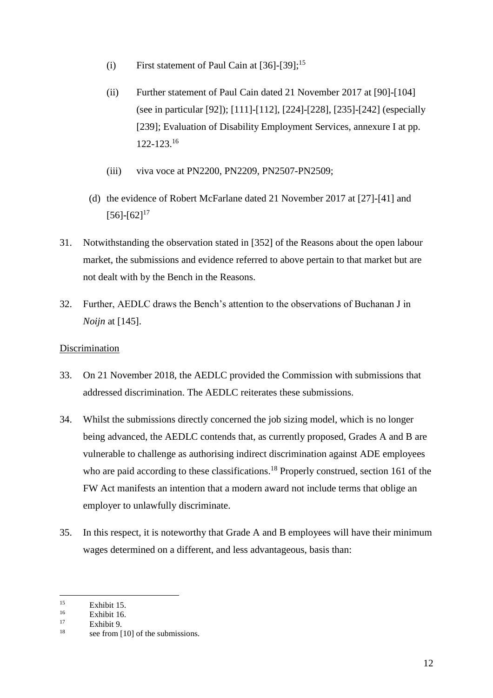- (i) First statement of Paul Cain at  $[36]$ - $[39]$ ;<sup>15</sup>
- (ii) Further statement of Paul Cain dated 21 November 2017 at [90]-[104] (see in particular [92]); [111]-[112], [224]-[228], [235]-[242] (especially [239]; Evaluation of Disability Employment Services, annexure I at pp. 122-123.<sup>16</sup>
- (iii) viva voce at PN2200, PN2209, PN2507-PN2509;
- (d) the evidence of Robert McFarlane dated 21 November 2017 at [27]-[41] and  $[56]-[62]^{17}$
- 31. Notwithstanding the observation stated in [352] of the Reasons about the open labour market, the submissions and evidence referred to above pertain to that market but are not dealt with by the Bench in the Reasons.
- 32. Further, AEDLC draws the Bench's attention to the observations of Buchanan J in *Noijn* at [145].

# Discrimination

- 33. On 21 November 2018, the AEDLC provided the Commission with submissions that addressed discrimination. The AEDLC reiterates these submissions.
- 34. Whilst the submissions directly concerned the job sizing model, which is no longer being advanced, the AEDLC contends that, as currently proposed, Grades A and B are vulnerable to challenge as authorising indirect discrimination against ADE employees who are paid according to these classifications.<sup>18</sup> Properly construed, section 161 of the FW Act manifests an intention that a modern award not include terms that oblige an employer to unlawfully discriminate.
- 35. In this respect, it is noteworthy that Grade A and B employees will have their minimum wages determined on a different, and less advantageous, basis than:

 $15$  $\frac{15}{16}$  Exhibit 15.

 $\frac{16}{17}$  Exhibit 16.

 $17 \t**Exhibit 9.**$ 

see from [10] of the submissions.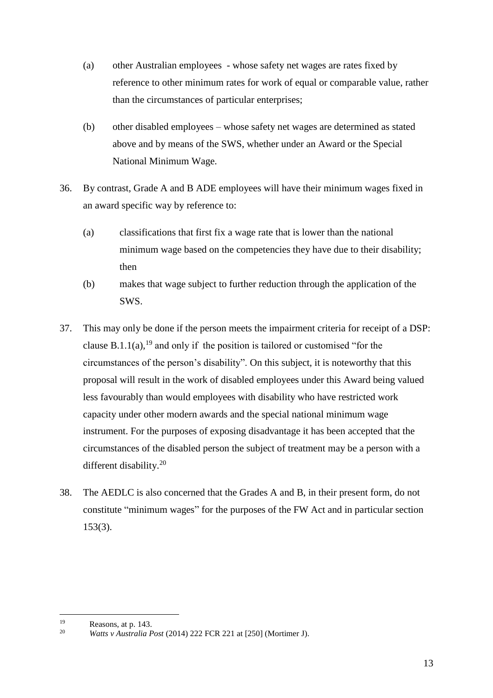- (a) other Australian employees whose safety net wages are rates fixed by reference to other minimum rates for work of equal or comparable value, rather than the circumstances of particular enterprises;
- (b) other disabled employees whose safety net wages are determined as stated above and by means of the SWS, whether under an Award or the Special National Minimum Wage.
- 36. By contrast, Grade A and B ADE employees will have their minimum wages fixed in an award specific way by reference to:
	- (a) classifications that first fix a wage rate that is lower than the national minimum wage based on the competencies they have due to their disability; then
	- (b) makes that wage subject to further reduction through the application of the SWS.
- 37. This may only be done if the person meets the impairment criteria for receipt of a DSP: clause B.1.1(a),<sup>19</sup> and only if the position is tailored or customised "for the circumstances of the person's disability". On this subject, it is noteworthy that this proposal will result in the work of disabled employees under this Award being valued less favourably than would employees with disability who have restricted work capacity under other modern awards and the special national minimum wage instrument. For the purposes of exposing disadvantage it has been accepted that the circumstances of the disabled person the subject of treatment may be a person with a different disability.<sup>20</sup>
- 38. The AEDLC is also concerned that the Grades A and B, in their present form, do not constitute "minimum wages" for the purposes of the FW Act and in particular section 153(3).

<sup>19</sup>  $\frac{19}{20}$  Reasons, at p. 143.

<sup>20</sup> *Watts v Australia Post* (2014) 222 FCR 221 at [250] (Mortimer J).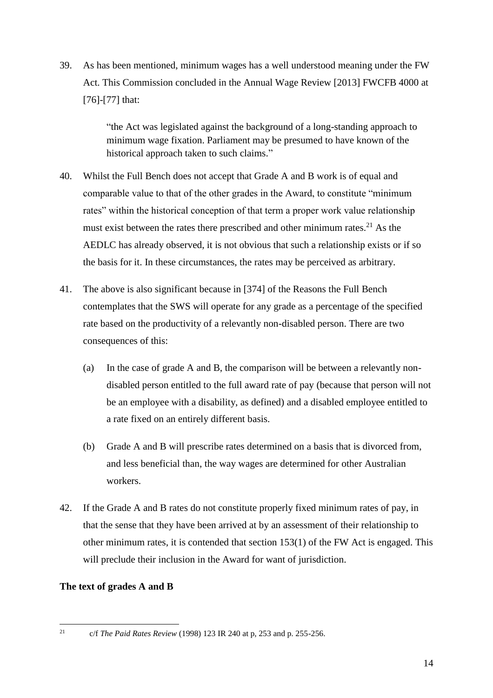39. As has been mentioned, minimum wages has a well understood meaning under the FW Act. This Commission concluded in the Annual Wage Review [2013] FWCFB 4000 at [76]-[77] that:

> "the Act was legislated against the background of a long-standing approach to minimum wage fixation. Parliament may be presumed to have known of the historical approach taken to such claims."

- 40. Whilst the Full Bench does not accept that Grade A and B work is of equal and comparable value to that of the other grades in the Award, to constitute "minimum rates" within the historical conception of that term a proper work value relationship must exist between the rates there prescribed and other minimum rates.<sup>21</sup> As the AEDLC has already observed, it is not obvious that such a relationship exists or if so the basis for it. In these circumstances, the rates may be perceived as arbitrary.
- 41. The above is also significant because in [374] of the Reasons the Full Bench contemplates that the SWS will operate for any grade as a percentage of the specified rate based on the productivity of a relevantly non-disabled person. There are two consequences of this:
	- (a) In the case of grade A and B, the comparison will be between a relevantly nondisabled person entitled to the full award rate of pay (because that person will not be an employee with a disability, as defined) and a disabled employee entitled to a rate fixed on an entirely different basis.
	- (b) Grade A and B will prescribe rates determined on a basis that is divorced from, and less beneficial than, the way wages are determined for other Australian workers.
- 42. If the Grade A and B rates do not constitute properly fixed minimum rates of pay, in that the sense that they have been arrived at by an assessment of their relationship to other minimum rates, it is contended that section 153(1) of the FW Act is engaged. This will preclude their inclusion in the Award for want of jurisdiction.

# **The text of grades A and B**

 $21$ 

<sup>21</sup> c/f *The Paid Rates Review* (1998) 123 IR 240 at p, 253 and p. 255-256.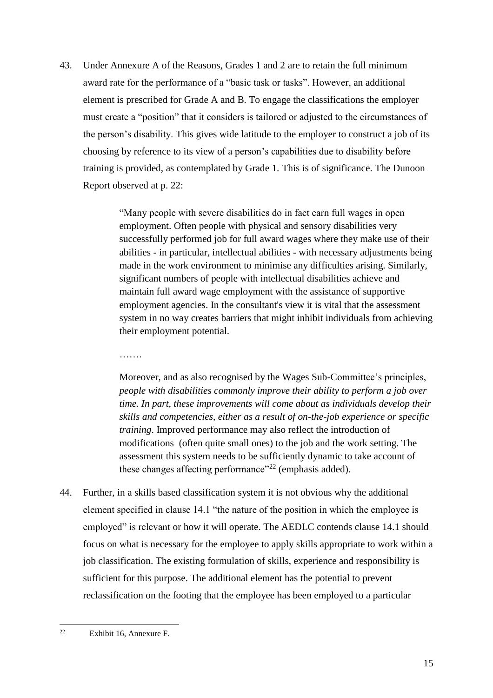43. Under Annexure A of the Reasons, Grades 1 and 2 are to retain the full minimum award rate for the performance of a "basic task or tasks". However, an additional element is prescribed for Grade A and B. To engage the classifications the employer must create a "position" that it considers is tailored or adjusted to the circumstances of the person's disability. This gives wide latitude to the employer to construct a job of its choosing by reference to its view of a person's capabilities due to disability before training is provided, as contemplated by Grade 1. This is of significance. The Dunoon Report observed at p. 22:

> "Many people with severe disabilities do in fact earn full wages in open employment. Often people with physical and sensory disabilities very successfully performed job for full award wages where they make use of their abilities - in particular, intellectual abilities - with necessary adjustments being made in the work environment to minimise any difficulties arising. Similarly, significant numbers of people with intellectual disabilities achieve and maintain full award wage employment with the assistance of supportive employment agencies. In the consultant's view it is vital that the assessment system in no way creates barriers that might inhibit individuals from achieving their employment potential.

> Moreover, and as also recognised by the Wages Sub-Committee's principles, *people with disabilities commonly improve their ability to perform a job over time. In part, these improvements will come about as individuals develop their skills and competencies, either as a result of on-the-job experience or specific training*. Improved performance may also reflect the introduction of modifications (often quite small ones) to the job and the work setting. The assessment this system needs to be sufficiently dynamic to take account of these changes affecting performance"<sup>22</sup> (emphasis added).

44. Further, in a skills based classification system it is not obvious why the additional element specified in clause 14.1 "the nature of the position in which the employee is employed" is relevant or how it will operate. The AEDLC contends clause 14.1 should focus on what is necessary for the employee to apply skills appropriate to work within a job classification. The existing formulation of skills, experience and responsibility is sufficient for this purpose. The additional element has the potential to prevent reclassification on the footing that the employee has been employed to a particular

…….

 $22$ Exhibit 16, Annexure F.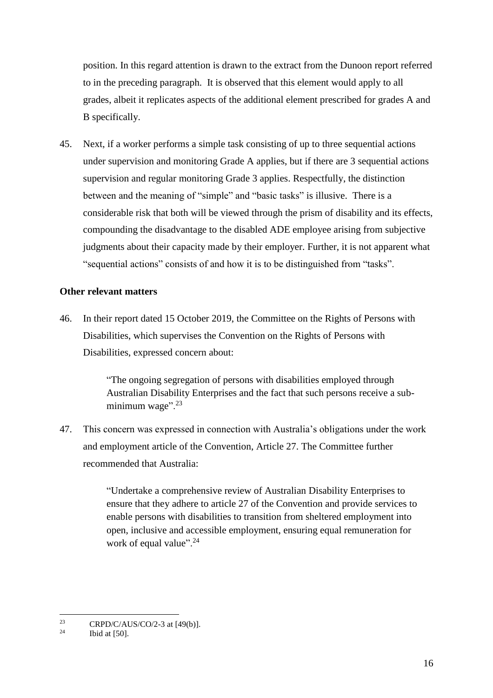position. In this regard attention is drawn to the extract from the Dunoon report referred to in the preceding paragraph. It is observed that this element would apply to all grades, albeit it replicates aspects of the additional element prescribed for grades A and B specifically.

45. Next, if a worker performs a simple task consisting of up to three sequential actions under supervision and monitoring Grade A applies, but if there are 3 sequential actions supervision and regular monitoring Grade 3 applies. Respectfully, the distinction between and the meaning of "simple" and "basic tasks" is illusive. There is a considerable risk that both will be viewed through the prism of disability and its effects, compounding the disadvantage to the disabled ADE employee arising from subjective judgments about their capacity made by their employer. Further, it is not apparent what "sequential actions" consists of and how it is to be distinguished from "tasks".

### **Other relevant matters**

46. In their report dated 15 October 2019, the Committee on the Rights of Persons with Disabilities, which supervises the Convention on the Rights of Persons with Disabilities, expressed concern about:

> "The ongoing segregation of persons with disabilities employed through Australian Disability Enterprises and the fact that such persons receive a subminimum wage". $23$

47. This concern was expressed in connection with Australia's obligations under the work and employment article of the Convention, Article 27. The Committee further recommended that Australia:

> "Undertake a comprehensive review of Australian Disability Enterprises to ensure that they adhere to article 27 of the Convention and provide services to enable persons with disabilities to transition from sheltered employment into open, inclusive and accessible employment, ensuring equal remuneration for work of equal value". $^{24}$

 $23$ <sup>23</sup> CRPD/C/AUS/CO/2-3 at [49(b)].

Ibid at  $[50]$ .